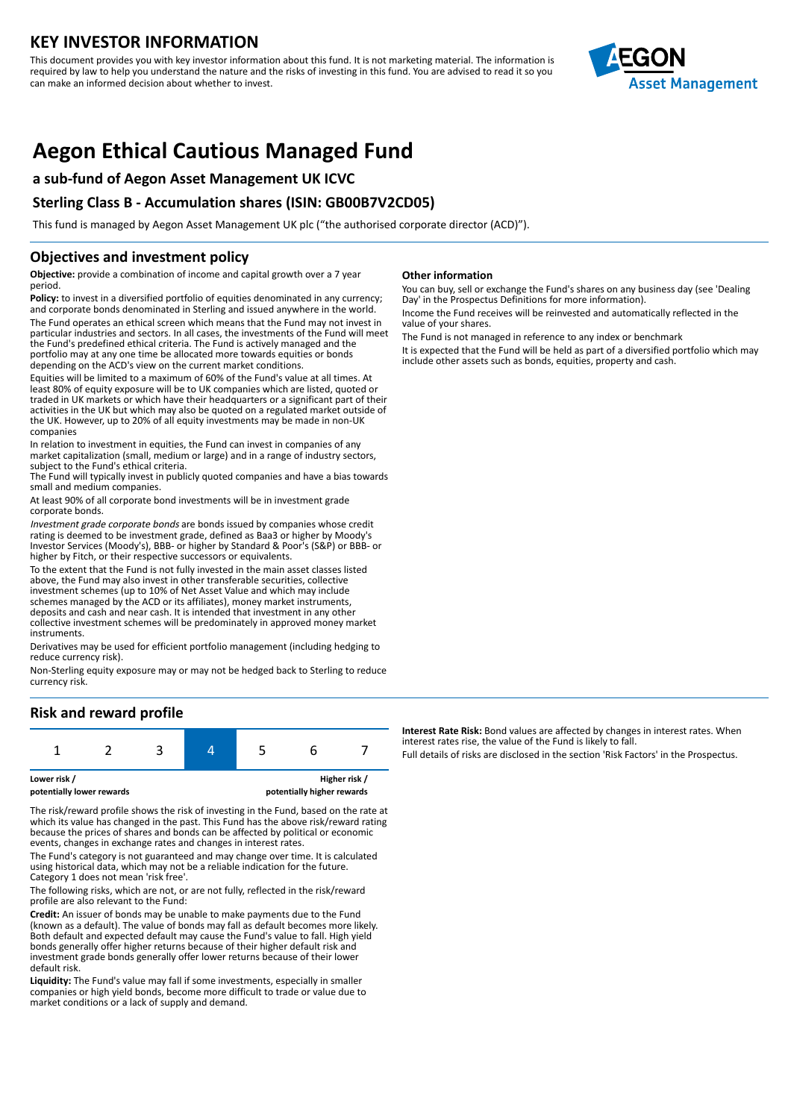## **KEY INVESTOR INFORMATION**

This document provides you with key investor information about this fund. It is not marketing material. The information is required by law to help you understand the nature and the risks of investing in this fund. You are advised to read it so you can make an informed decision about whether to invest.



# **Aegon Ethical Cautious Managed Fund**

## **a sub-fund of Aegon Asset Management UK ICVC**

## **Sterling Class B - Accumulation shares (ISIN: GB00B7V2CD05)**

This fund is managed by Aegon Asset Management UK plc ("the authorised corporate director (ACD)").

### **Objectives and investment policy**

**Objective:** provide a combination of income and capital growth over a 7 year period.

Policy: to invest in a diversified portfolio of equities denominated in any currency; and corporate bonds denominated in Sterling and issued anywhere in the world. The Fund operates an ethical screen which means that the Fund may not invest in particular industries and sectors. In all cases, the investments of the Fund will meet the Fund's predefined ethical criteria. The Fund is actively managed and the portfolio may at any one time be allocated more towards equities or bonds depending on the ACD's view on the current market conditions.

Equities will be limited to a maximum of 60% of the Fund's value at all times. At least 80% of equity exposure will be to UK companies which are listed, quoted or traded in UK markets or which have their headquarters or a significant part of their activities in the UK but which may also be quoted on a regulated market outside of the UK. However, up to 20% of all equity investments may be made in non-UK companies

In relation to investment in equities, the Fund can invest in companies of any market capitalization (small, medium or large) and in a range of industry sectors, subject to the Fund's ethical criteria.

The Fund will typically invest in publicly quoted companies and have a bias towards small and medium companies.

At least 90% of all corporate bond investments will be in investment grade corporate bonds.

Investment grade corporate bonds are bonds issued by companies whose credit rating is deemed to be investment grade, defined as Baa3 or higher by Moody's Investor Services (Moody's), BBB- or higher by Standard & Poor's (S&P) or BBB- or higher by Fitch, or their respective successors or equivalents.

To the extent that the Fund is not fully invested in the main asset classes listed above, the Fund may also invest in other transferable securities, collective investment schemes (up to 10% of Net Asset Value and which may include schemes managed by the ACD or its affiliates), money market instruments, deposits and cash and near cash. It is intended that investment in any other collective investment schemes will be predominately in approved money market instruments.

Derivatives may be used for efficient portfolio management (including hedging to reduce currency risk).

Non-Sterling equity exposure may or may not be hedged back to Sterling to reduce currency risk.

## **Risk and reward profile**

The risk/reward profile shows the risk of investing in the Fund, based on the rate at which its value has changed in the past. This Fund has the above risk/reward rating because the prices of shares and bonds can be affected by political or economic events, changes in exchange rates and changes in interest rates.

The Fund's category is not guaranteed and may change over time. It is calculated using historical data, which may not be a reliable indication for the future. Category 1 does not mean 'risk free'.

The following risks, which are not, or are not fully, reflected in the risk/reward profile are also relevant to the Fund:

**Credit:** An issuer of bonds may be unable to make payments due to the Fund (known as a default). The value of bonds may fall as default becomes more likely. Both default and expected default may cause the Fund's value to fall. High yield bonds generally offer higher returns because of their higher default risk and investment grade bonds generally offer lower returns because of their lower default risk.

**Liquidity:** The Fund's value may fall if some investments, especially in smaller companies or high yield bonds, become more difficult to trade or value due to market conditions or a lack of supply and demand.

#### **Other information**

You can buy, sell or exchange the Fund's shares on any business day (see 'Dealing Day' in the Prospectus Definitions for more information). Income the Fund receives will be reinvested and automatically reflected in the

value of your shares.

The Fund is not managed in reference to any index or benchmark It is expected that the Fund will be held as part of a diversified portfolio which may include other assets such as bonds, equities, property and cash.

**Interest Rate Risk:** Bond values are affected by changes in interest rates. When interest rates rise, the value of the Fund is likely to fall. Full details of risks are disclosed in the section 'Risk Factors' in the Prospectus.